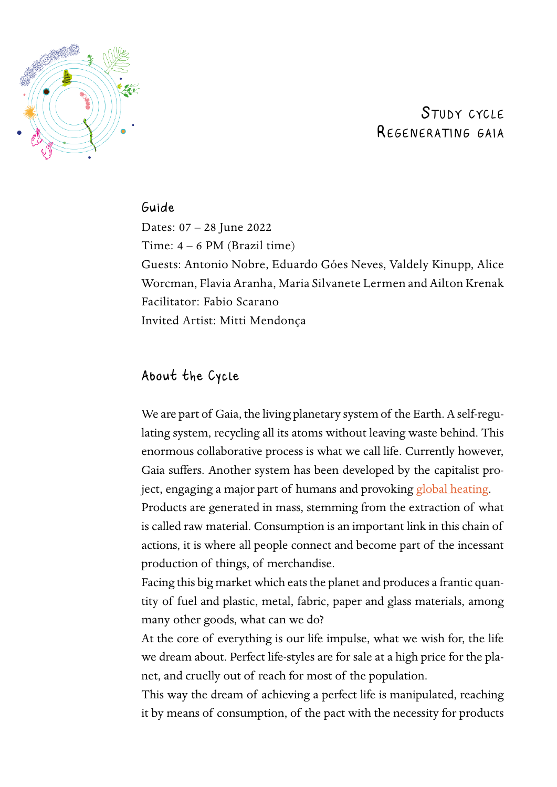

# STUDY CYCLE Regenerating gaia

# Guide

Dates: 07 – 28 June 2022 Time: 4 – 6 PM (Brazil time) Guests: Antonio Nobre, Eduardo Góes Neves, Valdely Kinupp, Alice Worcman, Flavia Aranha, Maria Silvanete Lermen and Ailton Krenak Facilitator: Fabio Scarano Invited Artist: Mitti Mendonça

# About the Cycle

We are part of Gaia, the living planetary system of the Earth. A self-regulating system, recycling all its atoms without leaving waste behind. This enormous collaborative process is what we call life. Currently however, Gaia suffers. Another system has been developed by the capitalist project, engaging a major part of humans and provoking [global heating](https://www.theguardian.com/environment/2018/dec/13/global-heating-more-accurate-to-describe-risks-to-planet-says-key-scientist).

Products are generated in mass, stemming from the extraction of what is called raw material. Consumption is an important link in this chain of actions, it is where all people connect and become part of the incessant production of things, of merchandise.

Facing this big market which eats the planet and produces a frantic quantity of fuel and plastic, metal, fabric, paper and glass materials, among many other goods, what can we do?

At the core of everything is our life impulse, what we wish for, the life we dream about. Perfect life-styles are for sale at a high price for the planet, and cruelly out of reach for most of the population.

This way the dream of achieving a perfect life is manipulated, reaching it by means of consumption, of the pact with the necessity for products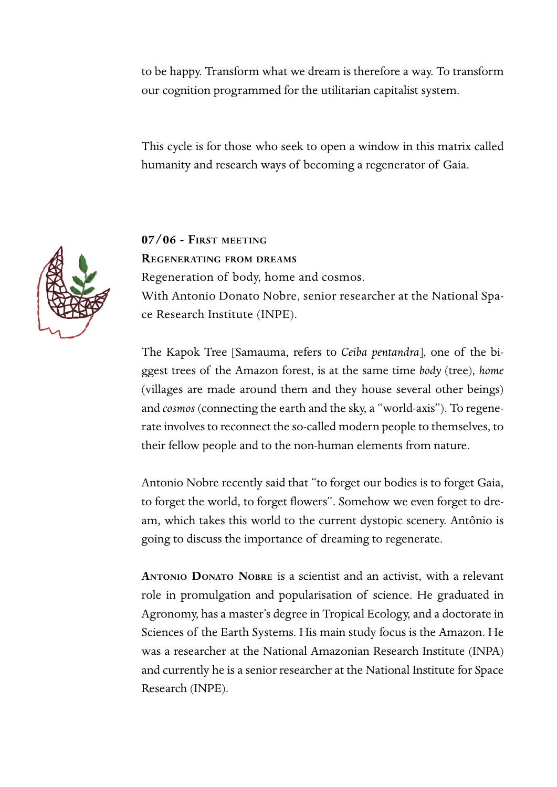to be happy. Transform what we dream is therefore a way. To transform our cognition programmed for the utilitarian capitalist system.

This cycle is for those who seek to open a window in this matrix called humanity and research ways of becoming a regenerator of Gaia.



**07/06 - First meeting Regenerating from dreams** Regeneration of body, home and cosmos. With Antonio Donato Nobre, senior researcher at the National Space Research Institute (INPE).

The Kapok Tree [Samauma, refers to *Ceiba pentandra*], one of the biggest trees of the Amazon forest, is at the same time *body* (tree), *home* (villages are made around them and they house several other beings) and *cosmos* (connecting the earth and the sky, a "world-axis"). To regenerate involves to reconnect the so-called modern people to themselves, to their fellow people and to the non-human elements from nature.

Antonio Nobre recently said that "to forget our bodies is to forget Gaia, to forget the world, to forget flowers". Somehow we even forget to dream, which takes this world to the current dystopic scenery. Antônio is going to discuss the importance of dreaming to regenerate.

**Antonio Donato Nobre** is a scientist and an activist, with a relevant role in promulgation and popularisation of science. He graduated in Agronomy, has a master's degree in Tropical Ecology, and a doctorate in Sciences of the Earth Systems. His main study focus is the Amazon. He was a researcher at the National Amazonian Research Institute (INPA) and currently he is a senior researcher at the National Institute for Space Research (INPE).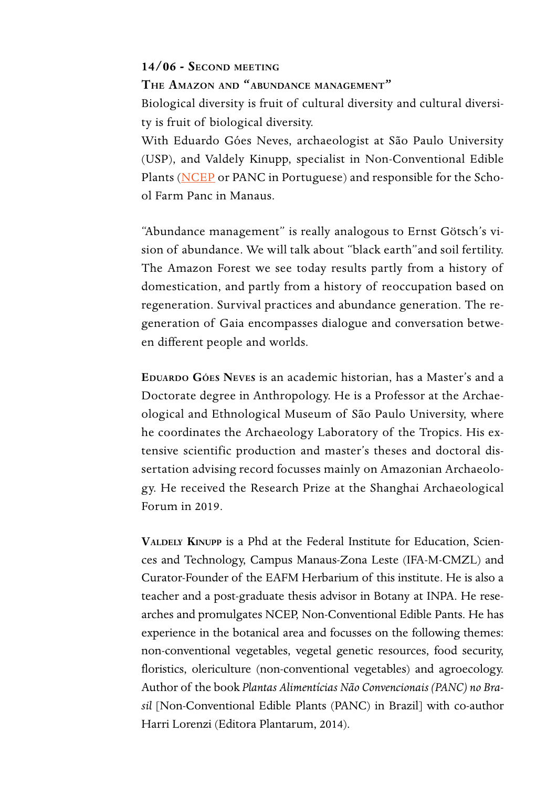#### **14/06 - Second meeting**

**The Amazon and "abundance management"**  Biological diversity is fruit of cultural diversity and cultural diversity is fruit of biological diversity.

With Eduardo Góes Neves, archaeologist at São Paulo University (USP), and Valdely Kinupp, specialist in Non-Conventional Edible Plants ([NCEP](https://www.journals.elsevier.com/food-research-international/call-for-papers/non-conventional-edible-plants-bioactive-composition-nutrition-health-benefits-and-safety) or PANC in Portuguese) and responsible for the School Farm Panc in Manaus.

"Abundance management" is really analogous to Ernst Götsch's vision of abundance. We will talk about "black earth"and soil fertility. The Amazon Forest we see today results partly from a history of domestication, and partly from a history of reoccupation based on regeneration. Survival practices and abundance generation. The regeneration of Gaia encompasses dialogue and conversation between different people and worlds.

**Eduardo Góes Neves** is an academic historian, has a Master's and a Doctorate degree in Anthropology. He is a Professor at the Archaeological and Ethnological Museum of São Paulo University, where he coordinates the Archaeology Laboratory of the Tropics. His extensive scientific production and master's theses and doctoral dissertation advising record focusses mainly on Amazonian Archaeology. He received the Research Prize at the Shanghai Archaeological Forum in 2019.

**Valdely Kinupp** is a Phd at the Federal Institute for Education, Sciences and Technology, Campus Manaus-Zona Leste (IFA-M-CMZL) and Curator-Founder of the EAFM Herbarium of this institute. He is also a teacher and a post-graduate thesis advisor in Botany at INPA. He researches and promulgates NCEP, Non-Conventional Edible Pants. He has experience in the botanical area and focusses on the following themes: non-conventional vegetables, vegetal genetic resources, food security, floristics, olericulture (non-conventional vegetables) and agroecology. Author of the book *Plantas Alimentícias Não Convencionais (PANC) no Brasil* [Non-Conventional Edible Plants (PANC) in Brazil] with co-author Harri Lorenzi (Editora Plantarum, 2014).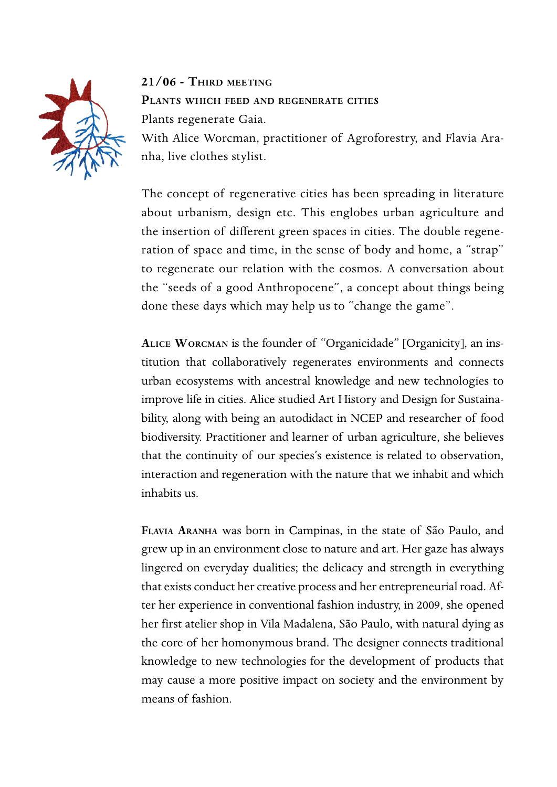

**21/06 - Third meeting Plants which feed and regenerate cities** Plants regenerate Gaia. With Alice Worcman, practitioner of Agroforestry, and Flavia Ara-

nha, live clothes stylist.

The concept of regenerative cities has been spreading in literature about urbanism, design etc. This englobes urban agriculture and the insertion of different green spaces in cities. The double regeneration of space and time, in the sense of body and home, a "strap" to regenerate our relation with the cosmos. A conversation about the "seeds of a good Anthropocene", a concept about things being done these days which may help us to "change the game".

**Alice Worcman** is the founder of "Organicidade" [Organicity], an institution that collaboratively regenerates environments and connects urban ecosystems with ancestral knowledge and new technologies to improve life in cities. Alice studied Art History and Design for Sustainability, along with being an autodidact in NCEP and researcher of food biodiversity. Practitioner and learner of urban agriculture, she believes that the continuity of our species's existence is related to observation, interaction and regeneration with the nature that we inhabit and which inhabits us.

**Flavia Aranha** was born in Campinas, in the state of São Paulo, and grew up in an environment close to nature and art. Her gaze has always lingered on everyday dualities; the delicacy and strength in everything that exists conduct her creative process and her entrepreneurial road. After her experience in conventional fashion industry, in 2009, she opened her first atelier shop in Vila Madalena, São Paulo, with natural dying as the core of her homonymous brand. The designer connects traditional knowledge to new technologies for the development of products that may cause a more positive impact on society and the environment by means of fashion.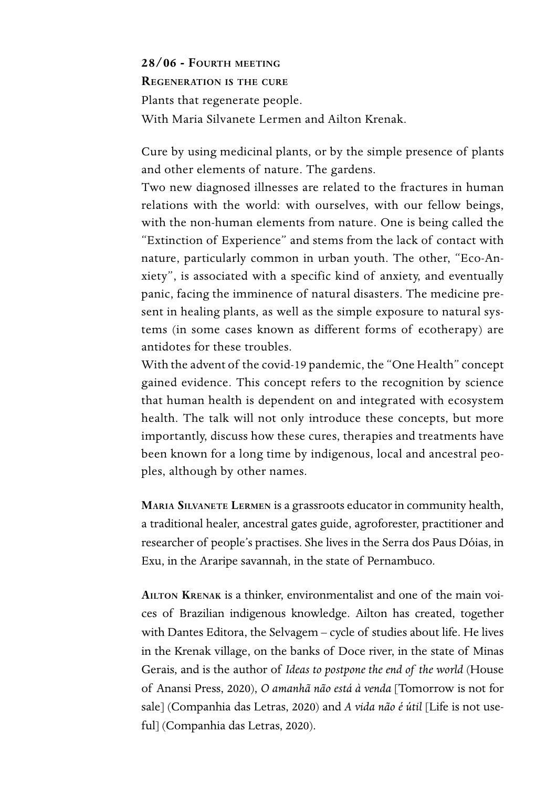**28/06 - Fourth meeting Regeneration is the cure** Plants that regenerate people. With Maria Silvanete Lermen and Ailton Krenak.

Cure by using medicinal plants, or by the simple presence of plants and other elements of nature. The gardens.

Two new diagnosed illnesses are related to the fractures in human relations with the world: with ourselves, with our fellow beings, with the non-human elements from nature. One is being called the "Extinction of Experience" and stems from the lack of contact with nature, particularly common in urban youth. The other, "Eco-Anxiety", is associated with a specific kind of anxiety, and eventually panic, facing the imminence of natural disasters. The medicine present in healing plants, as well as the simple exposure to natural systems (in some cases known as different forms of ecotherapy) are antidotes for these troubles.

With the advent of the covid-19 pandemic, the "One Health" concept gained evidence. This concept refers to the recognition by science that human health is dependent on and integrated with ecosystem health. The talk will not only introduce these concepts, but more importantly, discuss how these cures, therapies and treatments have been known for a long time by indigenous, local and ancestral peoples, although by other names.

**Maria Silvanete Lermen** is a grassroots educator in community health, a traditional healer, ancestral gates guide, agroforester, practitioner and researcher of people's practises. She lives in the Serra dos Paus Dóias, in Exu, in the Araripe savannah, in the state of Pernambuco.

**Ailton Krenak** is a thinker, environmentalist and one of the main voices of Brazilian indigenous knowledge. Ailton has created, together with Dantes Editora, the Selvagem – cycle of studies about life. He lives in the Krenak village, on the banks of Doce river, in the state of Minas Gerais, and is the author of *Ideas to postpone the end of the world* (House of Anansi Press, 2020), *O amanhã não está à venda* [Tomorrow is not for sale] (Companhia das Letras, 2020) and *A vida não é útil* [Life is not useful] (Companhia das Letras, 2020).